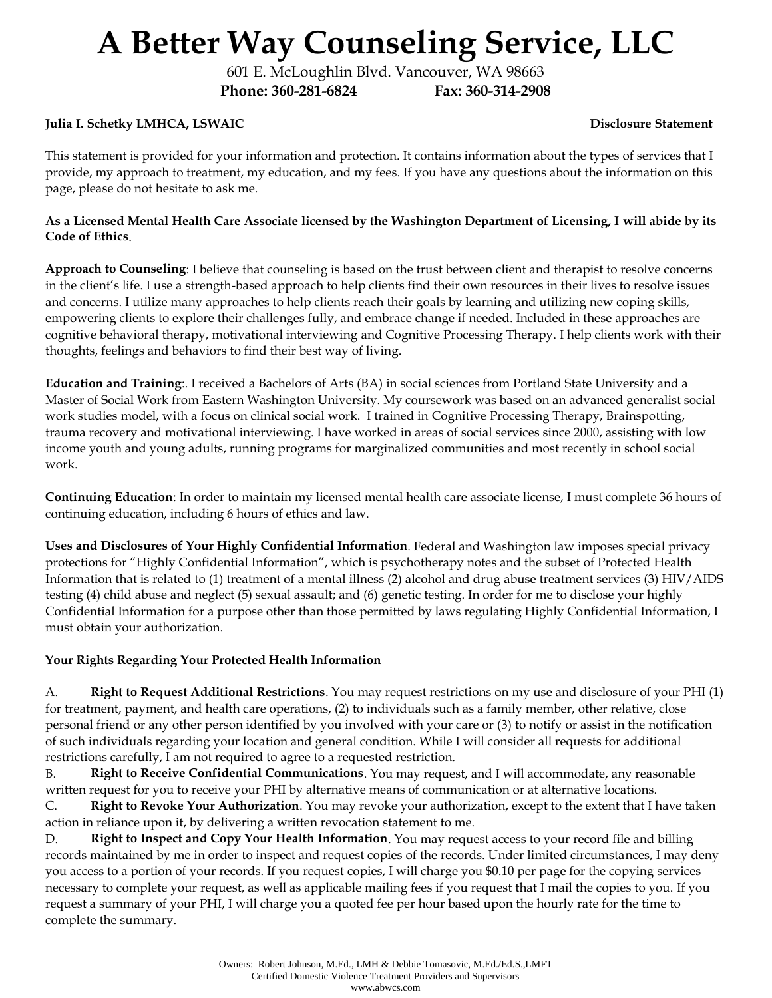601 E. McLoughlin Blvd. Vancouver, WA 98663

**Phone: 360-281-6824 Fax: 360-314-2908**

### **Julia I. Schetky LMHCA, LSWAIC Disclosure Statement**

This statement is provided for your information and protection. It contains information about the types of services that I provide, my approach to treatment, my education, and my fees. If you have any questions about the information on this page, please do not hesitate to ask me.

#### **As a Licensed Mental Health Care Associate licensed by the Washington Department of Licensing, I will abide by its Code of Ethics**.

**Approach to Counseling**: I believe that counseling is based on the trust between client and therapist to resolve concerns in the client's life. I use a strength-based approach to help clients find their own resources in their lives to resolve issues and concerns. I utilize many approaches to help clients reach their goals by learning and utilizing new coping skills, empowering clients to explore their challenges fully, and embrace change if needed. Included in these approaches are cognitive behavioral therapy, motivational interviewing and Cognitive Processing Therapy. I help clients work with their thoughts, feelings and behaviors to find their best way of living.

**Education and Training**:. I received a Bachelors of Arts (BA) in social sciences from Portland State University and a Master of Social Work from Eastern Washington University. My coursework was based on an advanced generalist social work studies model, with a focus on clinical social work. I trained in Cognitive Processing Therapy, Brainspotting, trauma recovery and motivational interviewing. I have worked in areas of social services since 2000, assisting with low income youth and young adults, running programs for marginalized communities and most recently in school social work.

**Continuing Education**: In order to maintain my licensed mental health care associate license, I must complete 36 hours of continuing education, including 6 hours of ethics and law.

**Uses and Disclosures of Your Highly Confidential Information**. Federal and Washington law imposes special privacy protections for "Highly Confidential Information", which is psychotherapy notes and the subset of Protected Health Information that is related to (1) treatment of a mental illness (2) alcohol and drug abuse treatment services (3) HIV/AIDS testing (4) child abuse and neglect (5) sexual assault; and (6) genetic testing. In order for me to disclose your highly Confidential Information for a purpose other than those permitted by laws regulating Highly Confidential Information, I must obtain your authorization.

#### **Your Rights Regarding Your Protected Health Information**

A. **Right to Request Additional Restrictions**. You may request restrictions on my use and disclosure of your PHI (1) for treatment, payment, and health care operations, (2) to individuals such as a family member, other relative, close personal friend or any other person identified by you involved with your care or (3) to notify or assist in the notification of such individuals regarding your location and general condition. While I will consider all requests for additional restrictions carefully, I am not required to agree to a requested restriction.

B. **Right to Receive Confidential Communications**. You may request, and I will accommodate, any reasonable written request for you to receive your PHI by alternative means of communication or at alternative locations. C. **Right to Revoke Your Authorization**. You may revoke your authorization, except to the extent that I have taken action in reliance upon it, by delivering a written revocation statement to me.

D. **Right to Inspect and Copy Your Health Information**. You may request access to your record file and billing records maintained by me in order to inspect and request copies of the records. Under limited circumstances, I may deny you access to a portion of your records. If you request copies, I will charge you \$0.10 per page for the copying services necessary to complete your request, as well as applicable mailing fees if you request that I mail the copies to you. If you request a summary of your PHI, I will charge you a quoted fee per hour based upon the hourly rate for the time to complete the summary.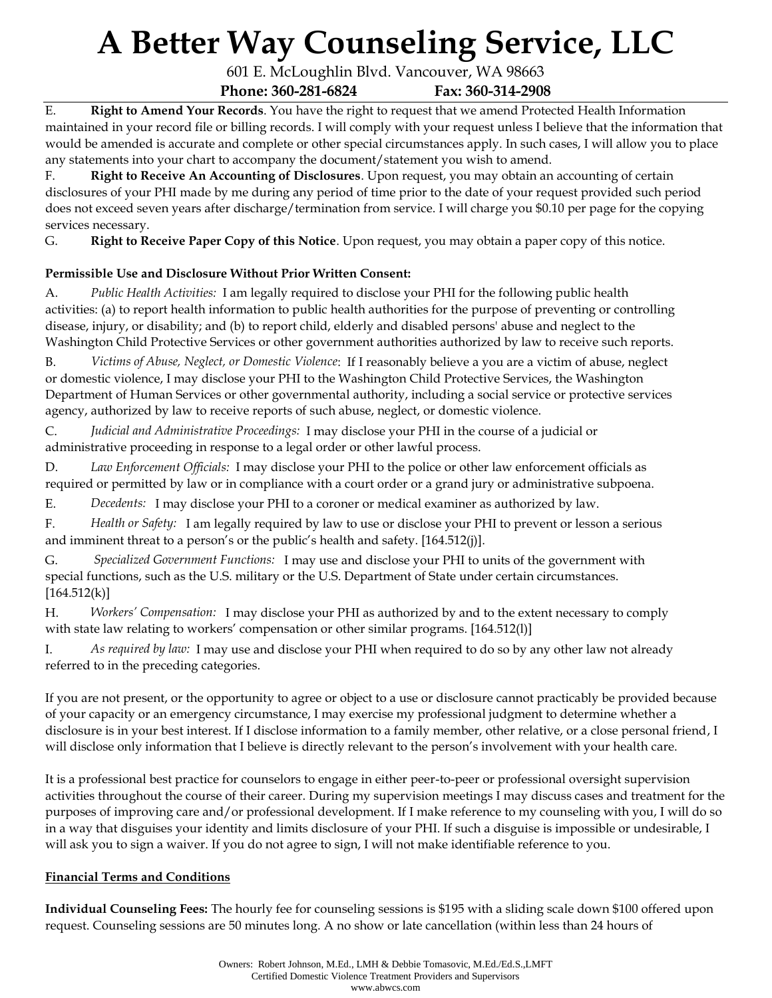601 E. McLoughlin Blvd. Vancouver, WA 98663 **Phone: 360-281-6824 Fax: 360-314-2908**

E. **Right to Amend Your Records**. You have the right to request that we amend Protected Health Information maintained in your record file or billing records. I will comply with your request unless I believe that the information that would be amended is accurate and complete or other special circumstances apply. In such cases, I will allow you to place any statements into your chart to accompany the document/statement you wish to amend.

F. **Right to Receive An Accounting of Disclosures**. Upon request, you may obtain an accounting of certain disclosures of your PHI made by me during any period of time prior to the date of your request provided such period does not exceed seven years after discharge/termination from service. I will charge you \$0.10 per page for the copying services necessary.

G. **Right to Receive Paper Copy of this Notice**. Upon request, you may obtain a paper copy of this notice.

## **Permissible Use and Disclosure Without Prior Written Consent:**

A. *Public Health Activities:* I am legally required to disclose your PHI for the following public health activities: (a) to report health information to public health authorities for the purpose of preventing or controlling disease, injury, or disability; and (b) to report child, elderly and disabled persons' abuse and neglect to the Washington Child Protective Services or other government authorities authorized by law to receive such reports.

B. *Victims of Abuse, Neglect, or Domestic Violence*: If I reasonably believe a you are a victim of abuse, neglect or domestic violence, I may disclose your PHI to the Washington Child Protective Services, the Washington Department of Human Services or other governmental authority, including a social service or protective services agency, authorized by law to receive reports of such abuse, neglect, or domestic violence.

C. *Judicial and Administrative Proceedings:* I may disclose your PHI in the course of a judicial or administrative proceeding in response to a legal order or other lawful process.

D. *Law Enforcement Officials:* I may disclose your PHI to the police or other law enforcement officials as required or permitted by law or in compliance with a court order or a grand jury or administrative subpoena.

E. *Decedents:* I may disclose your PHI to a coroner or medical examiner as authorized by law.

F. *Health or Safety:* I am legally required by law to use or disclose your PHI to prevent or lesson a serious and imminent threat to a person's or the public's health and safety. [164.512(j)].

G. *Specialized Government Functions:* I may use and disclose your PHI to units of the government with special functions, such as the U.S. military or the U.S. Department of State under certain circumstances.  $[164.512(k)]$ 

H. *Workers' Compensation:* I may disclose your PHI as authorized by and to the extent necessary to comply with state law relating to workers' compensation or other similar programs. [164.512(1)]

I. *As required by law:* I may use and disclose your PHI when required to do so by any other law not already referred to in the preceding categories.

If you are not present, or the opportunity to agree or object to a use or disclosure cannot practicably be provided because of your capacity or an emergency circumstance, I may exercise my professional judgment to determine whether a disclosure is in your best interest. If I disclose information to a family member, other relative, or a close personal friend, I will disclose only information that I believe is directly relevant to the person's involvement with your health care.

It is a professional best practice for counselors to engage in either peer-to-peer or professional oversight supervision activities throughout the course of their career. During my supervision meetings I may discuss cases and treatment for the purposes of improving care and/or professional development. If I make reference to my counseling with you, I will do so in a way that disguises your identity and limits disclosure of your PHI. If such a disguise is impossible or undesirable, I will ask you to sign a waiver. If you do not agree to sign, I will not make identifiable reference to you.

## **Financial Terms and Conditions**

**Individual Counseling Fees:** The hourly fee for counseling sessions is \$195 with a sliding scale down \$100 offered upon request. Counseling sessions are 50 minutes long. A no show or late cancellation (within less than 24 hours of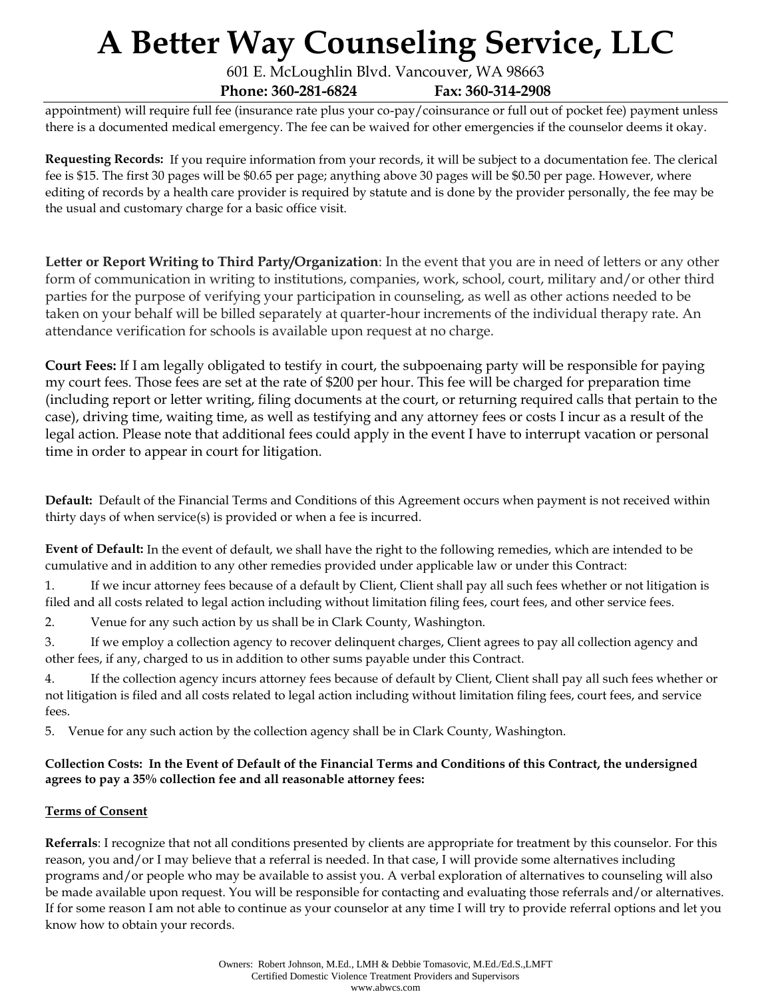601 E. McLoughlin Blvd. Vancouver, WA 98663

**Phone: 360-281-6824 Fax: 360-314-2908**

appointment) will require full fee (insurance rate plus your co-pay/coinsurance or full out of pocket fee) payment unless there is a documented medical emergency. The fee can be waived for other emergencies if the counselor deems it okay.

**Requesting Records:** If you require information from your records, it will be subject to a documentation fee. The clerical fee is \$15. The first 30 pages will be \$0.65 per page; anything above 30 pages will be \$0.50 per page. However, where editing of records by a health care provider is required by statute and is done by the provider personally, the fee may be the usual and customary charge for a basic office visit.

**Letter or Report Writing to Third Party/Organization**: In the event that you are in need of letters or any other form of communication in writing to institutions, companies, work, school, court, military and/or other third parties for the purpose of verifying your participation in counseling, as well as other actions needed to be taken on your behalf will be billed separately at quarter-hour increments of the individual therapy rate. An attendance verification for schools is available upon request at no charge.

**Court Fees:** If I am legally obligated to testify in court, the subpoenaing party will be responsible for paying my court fees. Those fees are set at the rate of \$200 per hour. This fee will be charged for preparation time (including report or letter writing, filing documents at the court, or returning required calls that pertain to the case), driving time, waiting time, as well as testifying and any attorney fees or costs I incur as a result of the legal action. Please note that additional fees could apply in the event I have to interrupt vacation or personal time in order to appear in court for litigation.

**Default:** Default of the Financial Terms and Conditions of this Agreement occurs when payment is not received within thirty days of when service(s) is provided or when a fee is incurred.

**Event of Default:** In the event of default, we shall have the right to the following remedies, which are intended to be cumulative and in addition to any other remedies provided under applicable law or under this Contract:

1. If we incur attorney fees because of a default by Client, Client shall pay all such fees whether or not litigation is filed and all costs related to legal action including without limitation filing fees, court fees, and other service fees.

2. Venue for any such action by us shall be in Clark County, Washington.

3. If we employ a collection agency to recover delinquent charges, Client agrees to pay all collection agency and other fees, if any, charged to us in addition to other sums payable under this Contract.

4. If the collection agency incurs attorney fees because of default by Client, Client shall pay all such fees whether or not litigation is filed and all costs related to legal action including without limitation filing fees, court fees, and service fees.

5. Venue for any such action by the collection agency shall be in Clark County, Washington.

### **Collection Costs: In the Event of Default of the Financial Terms and Conditions of this Contract, the undersigned agrees to pay a 35% collection fee and all reasonable attorney fees:**

## **Terms of Consent**

**Referrals**: I recognize that not all conditions presented by clients are appropriate for treatment by this counselor. For this reason, you and/or I may believe that a referral is needed. In that case, I will provide some alternatives including programs and/or people who may be available to assist you. A verbal exploration of alternatives to counseling will also be made available upon request. You will be responsible for contacting and evaluating those referrals and/or alternatives. If for some reason I am not able to continue as your counselor at any time I will try to provide referral options and let you know how to obtain your records.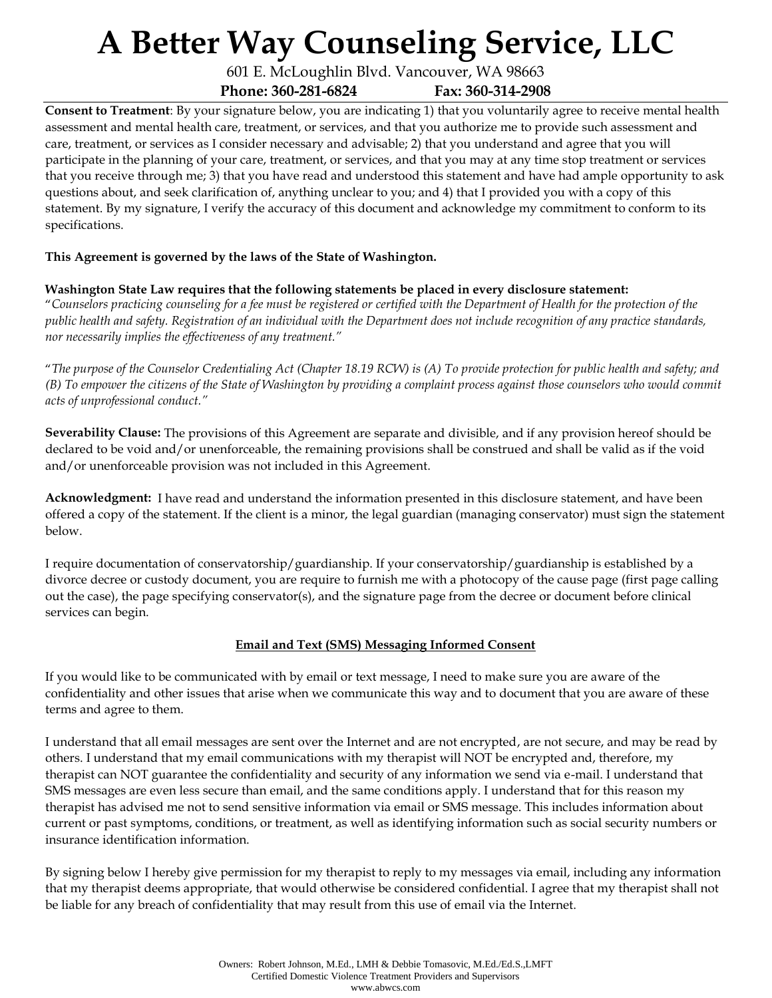601 E. McLoughlin Blvd. Vancouver, WA 98663 **Phone: 360-281-6824 Fax: 360-314-2908**

**Consent to Treatment**: By your signature below, you are indicating 1) that you voluntarily agree to receive mental health assessment and mental health care, treatment, or services, and that you authorize me to provide such assessment and care, treatment, or services as I consider necessary and advisable; 2) that you understand and agree that you will participate in the planning of your care, treatment, or services, and that you may at any time stop treatment or services that you receive through me; 3) that you have read and understood this statement and have had ample opportunity to ask questions about, and seek clarification of, anything unclear to you; and 4) that I provided you with a copy of this statement. By my signature, I verify the accuracy of this document and acknowledge my commitment to conform to its specifications.

#### **This Agreement is governed by the laws of the State of Washington.**

**Washington State Law requires that the following statements be placed in every disclosure statement:** 

"*Counselors practicing counseling for a fee must be registered or certified with the Department of Health for the protection of the public health and safety. Registration of an individual with the Department does not include recognition of any practice standards, nor necessarily implies the effectiveness of any treatment."* 

"*The purpose of the Counselor Credentialing Act (Chapter 18.19 RCW) is (A) To provide protection for public health and safety; and (B) To empower the citizens of the State of Washington by providing a complaint process against those counselors who would commit acts of unprofessional conduct."* 

**Severability Clause:** The provisions of this Agreement are separate and divisible, and if any provision hereof should be declared to be void and/or unenforceable, the remaining provisions shall be construed and shall be valid as if the void and/or unenforceable provision was not included in this Agreement.

**Acknowledgment:** I have read and understand the information presented in this disclosure statement, and have been offered a copy of the statement. If the client is a minor, the legal guardian (managing conservator) must sign the statement below.

I require documentation of conservatorship/guardianship. If your conservatorship/guardianship is established by a divorce decree or custody document, you are require to furnish me with a photocopy of the cause page (first page calling out the case), the page specifying conservator(s), and the signature page from the decree or document before clinical services can begin.

#### **Email and Text (SMS) Messaging Informed Consent**

If you would like to be communicated with by email or text message, I need to make sure you are aware of the confidentiality and other issues that arise when we communicate this way and to document that you are aware of these terms and agree to them.

I understand that all email messages are sent over the Internet and are not encrypted, are not secure, and may be read by others. I understand that my email communications with my therapist will NOT be encrypted and, therefore, my therapist can NOT guarantee the confidentiality and security of any information we send via e-mail. I understand that SMS messages are even less secure than email, and the same conditions apply. I understand that for this reason my therapist has advised me not to send sensitive information via email or SMS message. This includes information about current or past symptoms, conditions, or treatment, as well as identifying information such as social security numbers or insurance identification information.

By signing below I hereby give permission for my therapist to reply to my messages via email, including any information that my therapist deems appropriate, that would otherwise be considered confidential. I agree that my therapist shall not be liable for any breach of confidentiality that may result from this use of email via the Internet.